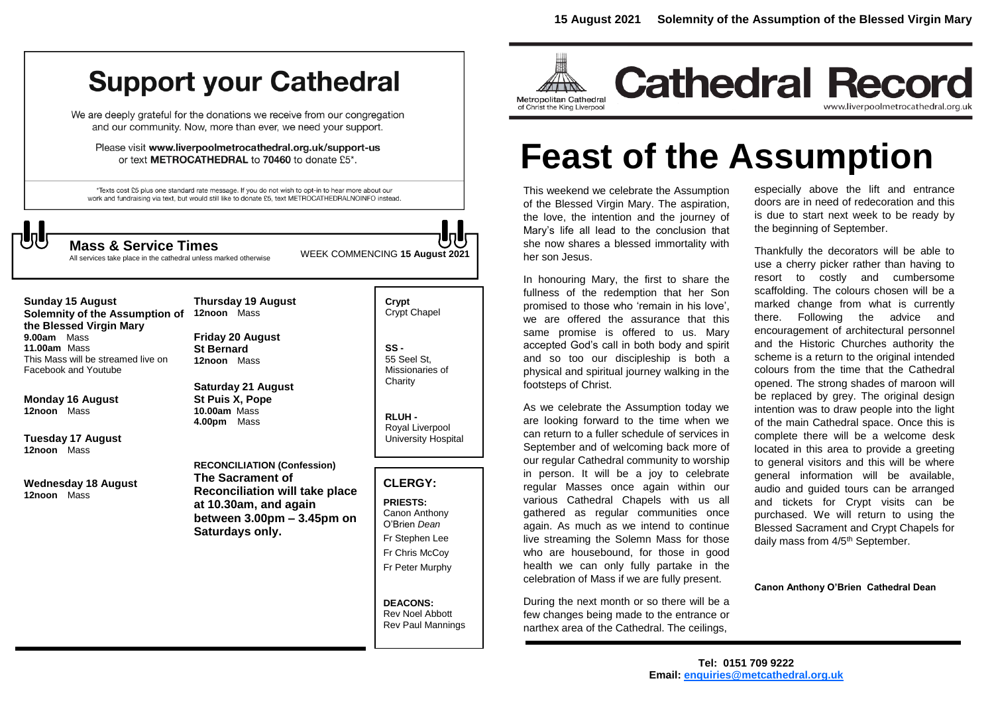# **Support your Cathedral**

We are deeply grateful for the donations we receive from our congregation and our community. Now, more than ever, we need your support.

Please visit www.liverpoolmetrocathedral.org.uk/support-us or text METROCATHEDRAL to 70460 to donate £5\*.

\*Texts cost £5 plus one standard rate message. If you do not wish to opt-in to hear more about our work and fundraising via text, but would still like to donate £5, text METROCATHEDRALNOINFO instead.

WEEK COMMENCING **<sup>15</sup> August 2021 Mass & Service Times**

All services take place in the cathedral unless marked otherwise

**Sunday 15 August Solemnity of the Assumption of the Blessed Virgin Mary 9.00am** Mass **11.00am** Mass This Mass will be streamed live on Facebook and Youtube

**Monday 16 August 12noon** Mass

**Tuesday 17 August 12noon** Mass

**Wednesday 18 August 12noon** Mass

**12noon** Mass **Friday 20 August**

**Thursday 19 August** 

**St Bernard 12noon** Mass

**Saturday 21 August St Puis X, Pope 10.00am** Mass **4.00pm** Mass

**RECONCILIATION (Confession) The Sacrament of Reconciliation will take place at 10.30am, and again between 3.00pm – 3.45pm on Saturdays only.**

**Crypt**  Crypt Chapel

**SS -** 55 Seel St, Missionaries of **Charity** 

**RLUH -** Royal Liverpool University Hospital

### **CLERGY:**

**PRIESTS:** Canon Anthony O'Brien *Dean* Fr Stephen Lee Fr Chris McCoy Fr Peter Murphy

**DEACONS:** Rev Noel Abbott Rev Paul Mannings



# **Feast of the Assumption**

This weekend we celebrate the Assumption of the Blessed Virgin Mary. The aspiration, the love, the intention and the journey of Mary's life all lead to the conclusion that she now shares a blessed immortality with her son Jesus.

In honouring Mary, the first to share the fullness of the redemption that her Son promised to those who 'remain in his love', we are offered the assurance that this same promise is offered to us. Mary accepted God's call in both body and spirit and so too our discipleship is both a physical and spiritual journey walking in the footsteps of Christ.

As we celebrate the Assumption today we are looking forward to the time when we can return to a fuller schedule of services in September and of welcoming back more of our regular Cathedral community to worship in person. It will be a joy to celebrate regular Masses once again within our various Cathedral Chapels with us all gathered as regular communities once again. As much as we intend to continue live streaming the Solemn Mass for those who are housebound, for those in good health we can only fully partake in the celebration of Mass if we are fully present.

During the next month or so there will be a few changes being made to the entrance or narthex area of the Cathedral. The ceilings,

especially above the lift and entrance doors are in need of redecoration and this is due to start next week to be ready by the beginning of September.

Thankfully the decorators will be able to use a cherry picker rather than having to resort to costly and cumbersome scaffolding. The colours chosen will be a marked change from what is currently there. Following the advice and encouragement of architectural personnel and the Historic Churches authority the scheme is a return to the original intended colours from the time that the Cathedral opened. The strong shades of maroon will be replaced by grey. The original design intention was to draw people into the light of the main Cathedral space. Once this is complete there will be a welcome desk located in this area to provide a greeting to general visitors and this will be where general information will be available, audio and guided tours can be arranged and tickets for Crypt visits can be purchased. We will return to using the Blessed Sacrament and Crypt Chapels for daily mass from 4/5<sup>th</sup> September.

**Canon Anthony O'Brien Cathedral Dean**